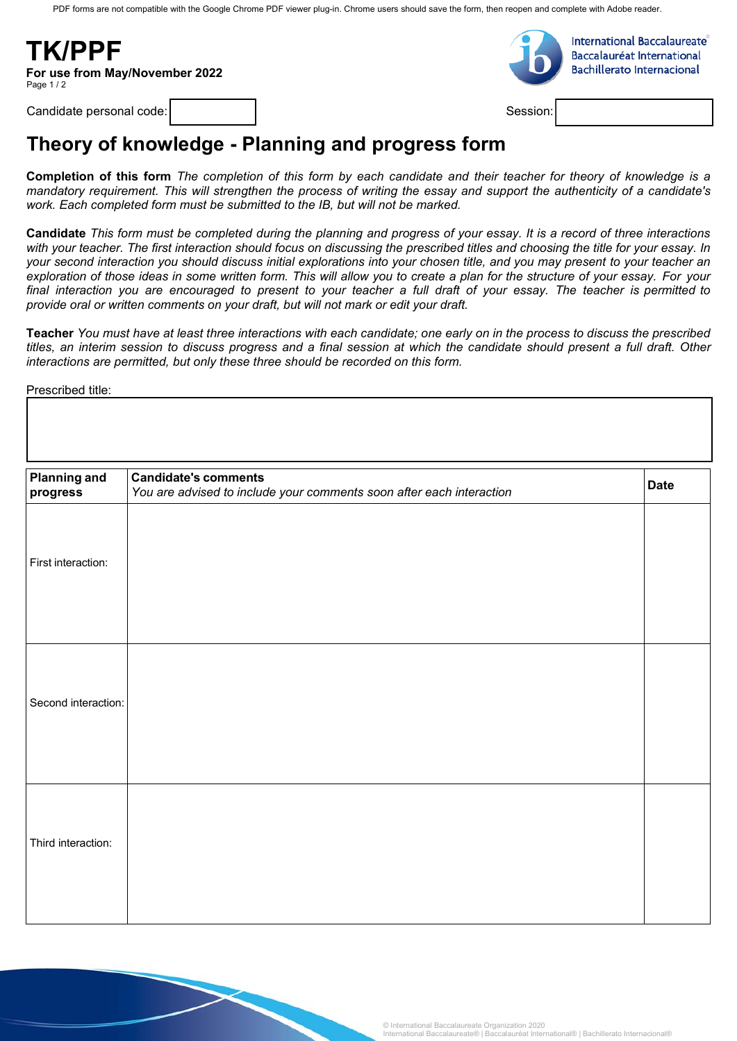PDF forms are not compatible with the Google Chrome PDF viewer plug-in. Chrome users should save the form, then reopen and complete with Adobe reader.

**TK/PPF For use from May/November 2022** Page 1/2



**International Baccalaureate Baccalauréat International Bachillerato Internacional** 

Candidate personal code:

Session:

## **Theory of knowledge - Planning and progress form**

Completion of this form The completion of this form by each candidate and their teacher for theory of knowledge is a mandatory requirement. This will strengthen the process of writing the essay and support the authenticity of a candidate's *work. Each completed form must be submitted to the IB, but will not be marked.*

**Candidate** *This form must be completed during the planning and progress of your essay. It is a record of three interactions with your teacher. The first interaction should focus on discussing the prescribed titles and choosing the title for your essay. In your second interaction you should discuss initial explorations into your chosen title, and you may present to your teacher an exploration of those ideas in some written form. This will allow you to create a plan for the structure of your essay. For your*  final interaction you are encouraged to present to your teacher a full draft of your essay. The teacher is permitted to *provide oral or written comments on your draft, but will not mark or edit your draft.*

**Teacher** *You must have at least three interactions with each candidate; one early on in the process to discuss the prescribed*  titles, an interim session to discuss progress and a final session at which the candidate should present a full draft. Other *interactions are permitted, but only these three should be recorded on this form.*

Prescribed title:

| <b>Planning and</b><br>progress | <b>Candidate's comments</b><br>You are advised to include your comments soon after each interaction | <b>Date</b> |
|---------------------------------|-----------------------------------------------------------------------------------------------------|-------------|
| First interaction:              |                                                                                                     |             |
| Second interaction:             |                                                                                                     |             |
| Third interaction:              |                                                                                                     |             |